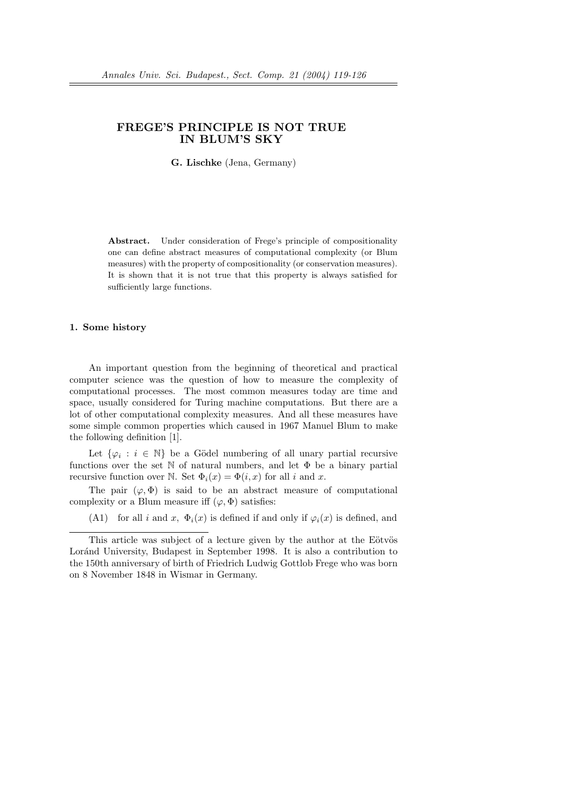# FREGE'S PRINCIPLE IS NOT TRUE IN BLUM'S SKY

G. Lischke (Jena, Germany)

Abstract. Under consideration of Frege's principle of compositionality one can define abstract measures of computational complexity (or Blum measures) with the property of compositionality (or conservation measures). It is shown that it is not true that this property is always satisfied for sufficiently large functions.

#### 1. Some history

An important question from the beginning of theoretical and practical computer science was the question of how to measure the complexity of computational processes. The most common measures today are time and space, usually considered for Turing machine computations. But there are a lot of other computational complexity measures. And all these measures have some simple common properties which caused in 1967 Manuel Blum to make the following definition [1].

Let  $\{\varphi_i : i \in \mathbb{N}\}\$ be a Gödel numbering of all unary partial recursive functions over the set  $\mathbb N$  of natural numbers, and let  $\Phi$  be a binary partial recursive function over N. Set  $\Phi_i(x) = \Phi(i, x)$  for all i and x.

The pair  $(\varphi, \Phi)$  is said to be an abstract measure of computational complexity or a Blum measure iff  $(\varphi, \Phi)$  satisfies:

(A1) for all i and x,  $\Phi_i(x)$  is defined if and only if  $\varphi_i(x)$  is defined, and

This article was subject of a lecture given by the author at the Eötvös Loránd University, Budapest in September 1998. It is also a contribution to the 150th anniversary of birth of Friedrich Ludwig Gottlob Frege who was born on 8 November 1848 in Wismar in Germany.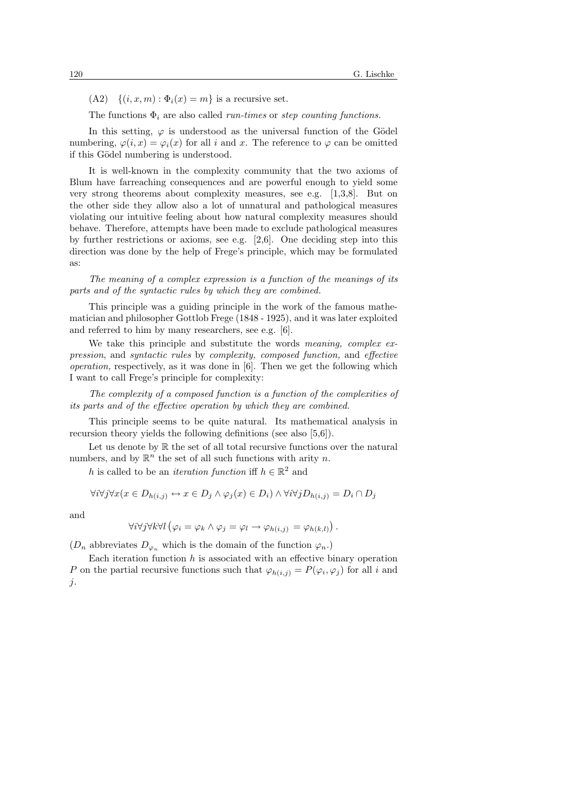$(A2) \quad \{(i, x, m) : \Phi_i(x) = m\}$  is a recursive set.

The functions  $\Phi_i$  are also called *run-times* or *step counting functions*.

In this setting,  $\varphi$  is understood as the universal function of the Gödel numbering,  $\varphi(i, x) = \varphi_i(x)$  for all i and x. The reference to  $\varphi$  can be omitted if this Gödel numbering is understood.

It is well-known in the complexity community that the two axioms of Blum have farreaching consequences and are powerful enough to yield some very strong theorems about complexity measures, see e.g. [1,3,8]. But on the other side they allow also a lot of unnatural and pathological measures violating our intuitive feeling about how natural complexity measures should behave. Therefore, attempts have been made to exclude pathological measures by further restrictions or axioms, see e.g. [2,6]. One deciding step into this direction was done by the help of Frege's principle, which may be formulated as:

The meaning of a complex expression is a function of the meanings of its parts and of the syntactic rules by which they are combined.

This principle was a guiding principle in the work of the famous mathematician and philosopher Gottlob Frege (1848 - 1925), and it was later exploited and referred to him by many researchers, see e.g. [6].

We take this principle and substitute the words *meaning*, *complex ex*pression, and syntactic rules by complexity, composed function, and effective operation, respectively, as it was done in [6]. Then we get the following which I want to call Frege's principle for complexity:

The complexity of a composed function is a function of the complexities of its parts and of the effective operation by which they are combined.

This principle seems to be quite natural. Its mathematical analysis in recursion theory yields the following definitions (see also [5,6]).

Let us denote by  $\mathbb R$  the set of all total recursive functions over the natural numbers, and by  $\mathbb{R}^n$  the set of all such functions with arity n.

h is called to be an *iteration function* iff  $h \in \mathbb{R}^2$  and

$$
\forall i \forall j \forall x (x \in D_{h(i,j)} \leftrightarrow x \in D_j \land \varphi_j(x) \in D_i) \land \forall i \forall j D_{h(i,j)} = D_i \cap D_j
$$

and

$$
\forall i \forall j \forall k \forall l \left( \varphi_i = \varphi_k \land \varphi_j = \varphi_l \rightarrow \varphi_{h(i,j)} = \varphi_{h(k,l)} \right).
$$

 $(D_n$  abbreviates  $D_{\varphi_n}$  which is the domain of the function  $\varphi_n$ .

Each iteration function  $h$  is associated with an effective binary operation P on the partial recursive functions such that  $\varphi_{h(i,j)} = P(\varphi_i, \varphi_j)$  for all i and j.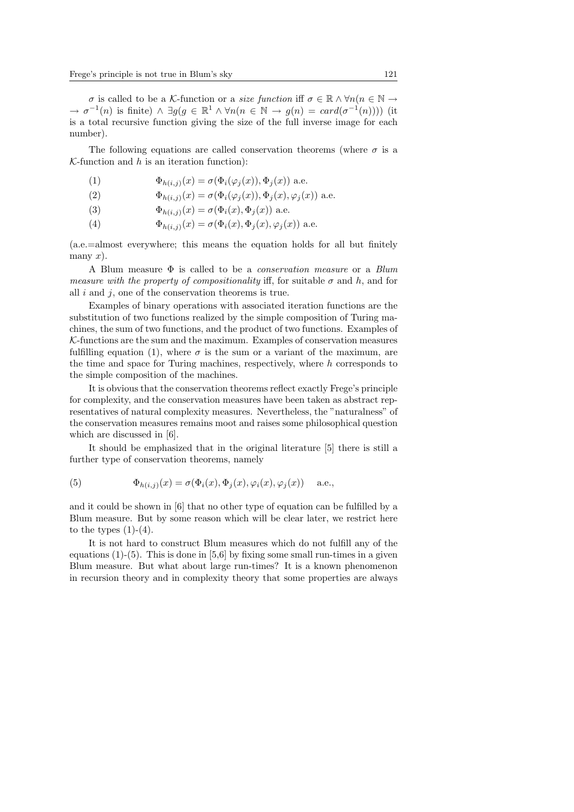σ is called to be a K-function or a *size function* iff  $\sigma \in \mathbb{R} \land \forall n(n \in \mathbb{N} \rightarrow \mathbb{N})$  $\rightarrow \sigma^{-1}(n)$  is finite)  $\land \exists g(g \in \mathbb{R}^1 \land \forall n(n \in \mathbb{N} \rightarrow g(n) = card(\sigma^{-1}(n)))$  (it is a total recursive function giving the size of the full inverse image for each number).

The following equations are called conservation theorems (where  $\sigma$  is a  $K$ -function and  $h$  is an iteration function):

- (1)  $\Phi_{h(i,j)}(x) = \sigma(\Phi_i(\varphi_i(x)), \Phi_i(x))$  a.e.
- (2)  $\Phi_{h(i,j)}(x) = \sigma(\Phi_i(\varphi_i(x)), \Phi_i(x), \varphi_i(x))$  a.e.
- (3)  $\Phi_{h(i,j)}(x) = \sigma(\Phi_i(x), \Phi_j(x))$  a.e.
- (4)  $\Phi_{h(i,j)}(x) = \sigma(\Phi_i(x), \Phi_j(x), \varphi_i(x))$  a.e.

(a.e.=almost everywhere; this means the equation holds for all but finitely many  $x$ ).

A Blum measure  $\Phi$  is called to be a *conservation measure* or a *Blum* measure with the property of compositionality iff, for suitable  $\sigma$  and h, and for all  $i$  and  $j$ , one of the conservation theorems is true.

Examples of binary operations with associated iteration functions are the substitution of two functions realized by the simple composition of Turing machines, the sum of two functions, and the product of two functions. Examples of  $K$ -functions are the sum and the maximum. Examples of conservation measures fulfilling equation (1), where  $\sigma$  is the sum or a variant of the maximum, are the time and space for Turing machines, respectively, where  $h$  corresponds to the simple composition of the machines.

It is obvious that the conservation theorems reflect exactly Frege's principle for complexity, and the conservation measures have been taken as abstract representatives of natural complexity measures. Nevertheless, the "naturalness" of the conservation measures remains moot and raises some philosophical question which are discussed in [6].

It should be emphasized that in the original literature [5] there is still a further type of conservation theorems, namely

(5) 
$$
\Phi_{h(i,j)}(x) = \sigma(\Phi_i(x), \Phi_j(x), \varphi_i(x), \varphi_j(x)) \quad \text{a.e.,}
$$

and it could be shown in [6] that no other type of equation can be fulfilled by a Blum measure. But by some reason which will be clear later, we restrict here to the types  $(1)-(4)$ .

It is not hard to construct Blum measures which do not fulfill any of the equations  $(1)-(5)$ . This is done in [5,6] by fixing some small run-times in a given Blum measure. But what about large run-times? It is a known phenomenon in recursion theory and in complexity theory that some properties are always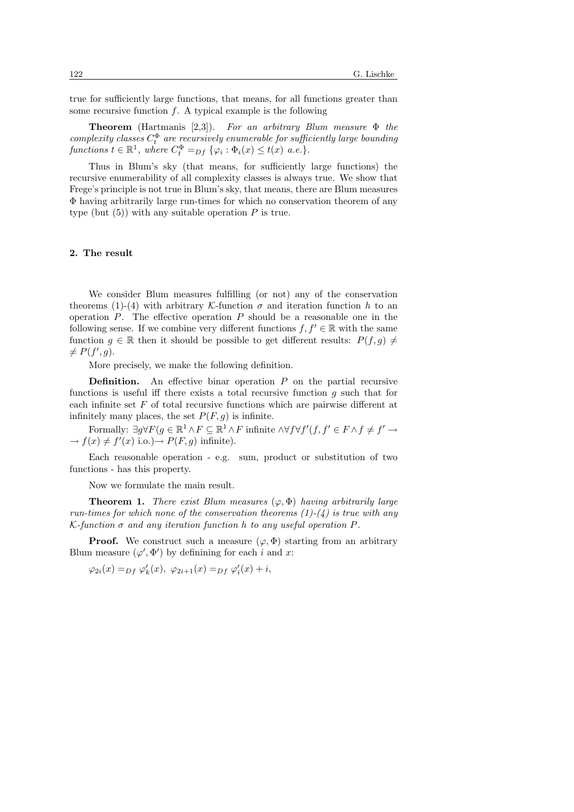true for sufficiently large functions, that means, for all functions greater than some recursive function  $f$ . A typical example is the following

**Theorem** (Hartmanis [2,3]). For an arbitrary Blum measure  $\Phi$  the complexity classes  $C_t^{\Phi}$  are recursively enumerable for sufficiently large bounding functions  $t \in \mathbb{R}^1$ , where  $C_t^{\Phi} =_{Df} \{ \varphi_i : \Phi_i(x) \le t(x) \text{ a.e.} \}.$ 

Thus in Blum's sky (that means, for sufficiently large functions) the recursive enumerability of all complexity classes is always true. We show that Frege's principle is not true in Blum's sky, that means, there are Blum measures Φ having arbitrarily large run-times for which no conservation theorem of any type (but  $(5)$ ) with any suitable operation P is true.

### 2. The result

We consider Blum measures fulfilling (or not) any of the conservation theorems (1)-(4) with arbitrary K-function  $\sigma$  and iteration function h to an operation  $P$ . The effective operation  $P$  should be a reasonable one in the following sense. If we combine very different functions  $f, f' \in \mathbb{R}$  with the same function  $g \in \mathbb{R}$  then it should be possible to get different results:  $P(f, g) \neq$  $\neq P(f', g)$ .

More precisely, we make the following definition.

**Definition.** An effective binar operation  $P$  on the partial recursive functions is useful iff there exists a total recursive function g such that for each infinite set  $F$  of total recursive functions which are pairwise different at infinitely many places, the set  $P(F, g)$  is infinite.

Formally:  $\exists g \forall F (g \in \mathbb{R}^1 \land F \subseteq \mathbb{R}^1 \land F$  infinite  $\land \forall f \forall f'(f, f' \in F \land f \neq f' \rightarrow$  $\rightarrow f(x) \neq f'(x)$  i.o.) $\rightarrow P(F, g)$  infinite).

Each reasonable operation - e.g. sum, product or substitution of two functions - has this property.

Now we formulate the main result.

**Theorem 1.** There exist Blum measures  $(\varphi, \Phi)$  having arbitrarily large run-times for which none of the conservation theorems  $(1)-(4)$  is true with any  $K$ -function  $\sigma$  and any iteration function h to any useful operation P.

**Proof.** We construct such a measure  $(\varphi, \Phi)$  starting from an arbitrary Blum measure  $(\varphi', \Phi')$  by definining for each i and x:

 $\varphi_{2i}(x) =_{Df} \varphi'_k(x), \ \varphi_{2i+1}(x) =_{Df} \varphi'_i(x) + i,$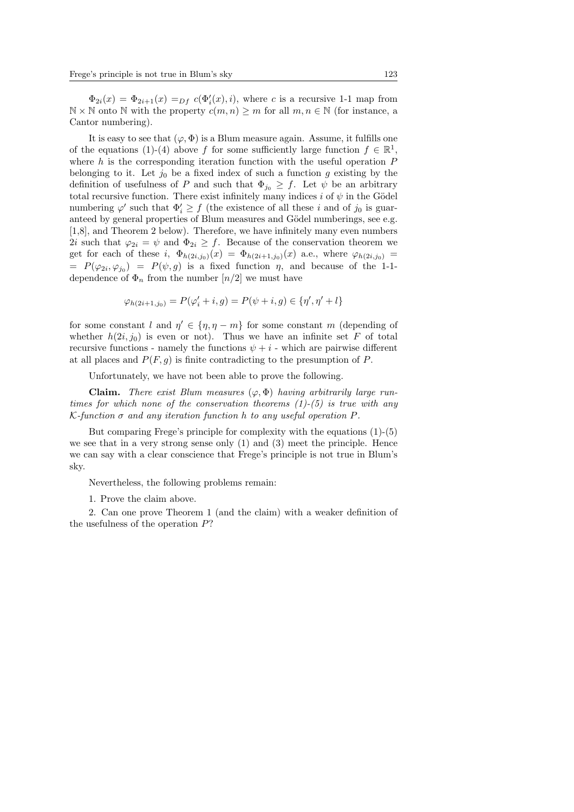$\Phi_{2i}(x) = \Phi_{2i+1}(x) =_{Df} c(\Phi_i'(x), i)$ , where c is a recursive 1-1 map from  $\mathbb{N} \times \mathbb{N}$  onto  $\mathbb{N}$  with the property  $c(m, n) \geq m$  for all  $m, n \in \mathbb{N}$  (for instance, a Cantor numbering).

It is easy to see that  $(\varphi, \Phi)$  is a Blum measure again. Assume, it fulfills one of the equations (1)-(4) above f for some sufficiently large function  $f \in \mathbb{R}^1$ , where h is the corresponding iteration function with the useful operation  $P$ belonging to it. Let  $j_0$  be a fixed index of such a function g existing by the definition of usefulness of P and such that  $\Phi_{j_0} \geq f$ . Let  $\psi$  be an arbitrary total recursive function. There exist infinitely many indices i of  $\psi$  in the Gödel numbering  $\varphi'$  such that  $\Phi'_i \geq f$  (the existence of all these i and of  $j_0$  is guaranteed by general properties of Blum measures and Gödel numberings, see e.g. [1,8], and Theorem 2 below). Therefore, we have infinitely many even numbers 2i such that  $\varphi_{2i} = \psi$  and  $\Phi_{2i} \geq f$ . Because of the conservation theorem we get for each of these i,  $\Phi_{h(2i,j_0)}(x) = \Phi_{h(2i+1,j_0)}(x)$  a.e., where  $\varphi_{h(2i,j_0)} =$  $= P(\varphi_{2i}, \varphi_{j_0}) = P(\psi, g)$  is a fixed function  $\eta$ , and because of the 1-1dependence of  $\Phi_n$  from the number  $\lfloor n/2 \rfloor$  we must have

$$
\varphi_{h(2i+1,j_0)} = P(\varphi'_i + i, g) = P(\psi + i, g) \in \{\eta', \eta' + l\}
$$

for some constant l and  $\eta' \in {\eta, \eta - m}$  for some constant m (depending of whether  $h(2i, j_0)$  is even or not). Thus we have an infinite set F of total recursive functions - namely the functions  $\psi + i$  - which are pairwise different at all places and  $P(F, q)$  is finite contradicting to the presumption of P.

Unfortunately, we have not been able to prove the following.

**Claim.** There exist Blum measures  $(\varphi, \Phi)$  having arbitrarily large runtimes for which none of the conservation theorems  $(1)-(5)$  is true with any  $K$ -function  $\sigma$  and any iteration function h to any useful operation P.

But comparing Frege's principle for complexity with the equations (1)-(5) we see that in a very strong sense only (1) and (3) meet the principle. Hence we can say with a clear conscience that Frege's principle is not true in Blum's sky.

Nevertheless, the following problems remain:

1. Prove the claim above.

2. Can one prove Theorem 1 (and the claim) with a weaker definition of the usefulness of the operation  $P$ ?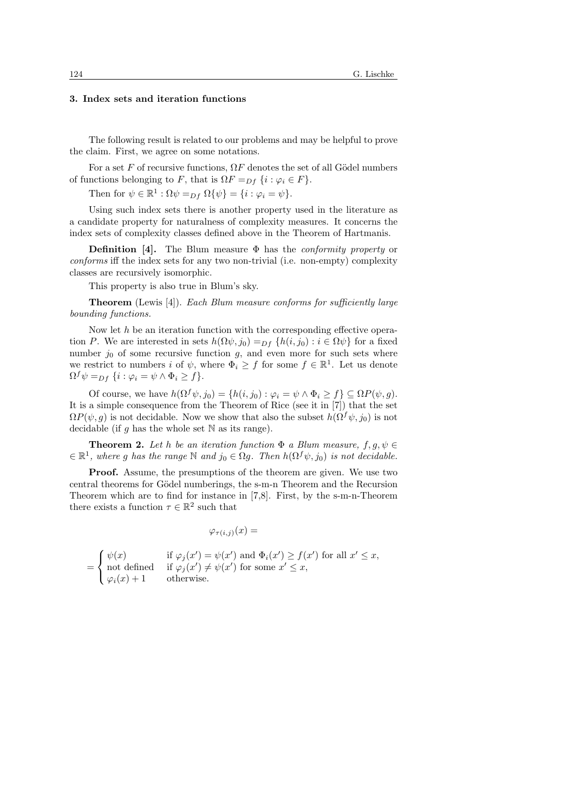# 3. Index sets and iteration functions

The following result is related to our problems and may be helpful to prove the claim. First, we agree on some notations.

For a set F of recursive functions,  $\Omega F$  denotes the set of all Gödel numbers of functions belonging to F, that is  $\Omega F =_{Df} \{i : \varphi_i \in F\}.$ 

Then for  $\psi \in \mathbb{R}^1 : \Omega \psi =_{Df} \Omega {\{\psi\}} = {i : \varphi_i = \psi\}.$ 

Using such index sets there is another property used in the literature as a candidate property for naturalness of complexity measures. It concerns the index sets of complexity classes defined above in the Theorem of Hartmanis.

**Definition** [4]. The Blum measure  $\Phi$  has the *conformity property* or conforms iff the index sets for any two non-trivial (i.e. non-empty) complexity classes are recursively isomorphic.

This property is also true in Blum's sky.

Theorem (Lewis [4]). Each Blum measure conforms for sufficiently large bounding functions.

Now let  $h$  be an iteration function with the corresponding effective operation P. We are interested in sets  $h(\Omega \psi, j_0) =_{Df} \{h(i, j_0) : i \in \Omega \psi\}$  for a fixed number  $j_0$  of some recursive function g, and even more for such sets where we restrict to numbers i of  $\psi$ , where  $\Phi_i \geq f$  for some  $f \in \mathbb{R}^1$ . Let us denote  $\Omega^f \psi =_{Df} \{i : \varphi_i = \psi \wedge \Phi_i \geq f\}.$ 

Of course, we have  $h(\Omega^f \psi, j_0) = \{h(i, j_0) : \varphi_i = \psi \wedge \Phi_i \geq f\} \subseteq \Omega P(\psi, g)$ . It is a simple consequence from the Theorem of Rice (see it in [7]) that the set  $\Omega P(\psi, g)$  is not decidable. Now we show that also the subset  $h(\Omega^f \psi, j_0)$  is not decidable (if g has the whole set  $\mathbb N$  as its range).

**Theorem 2.** Let h be an iteration function  $\Phi$  a Blum measure,  $f, g, \psi \in$  $\in \mathbb{R}^1$ , where g has the range  $\mathbb N$  and  $j_0 \in \Omega$ g. Then  $h(\Omega^f \psi, j_0)$  is not decidable.

Proof. Assume, the presumptions of the theorem are given. We use two central theorems for Gödel numberings, the s-m-n Theorem and the Recursion Theorem which are to find for instance in [7,8]. First, by the s-m-n-Theorem there exists a function  $\tau \in \mathbb{R}^2$  such that

$$
\varphi_{\tau(i,j)}(x) =
$$

$$
= \begin{cases} \psi(x) & \text{if } \varphi_j(x') = \psi(x') \text{ and } \Phi_i(x') \ge f(x') \text{ for all } x' \le x, \\ \text{not defined} & \text{if } \varphi_j(x') \neq \psi(x') \text{ for some } x' \le x, \\ \varphi_i(x) + 1 & \text{otherwise.} \end{cases}
$$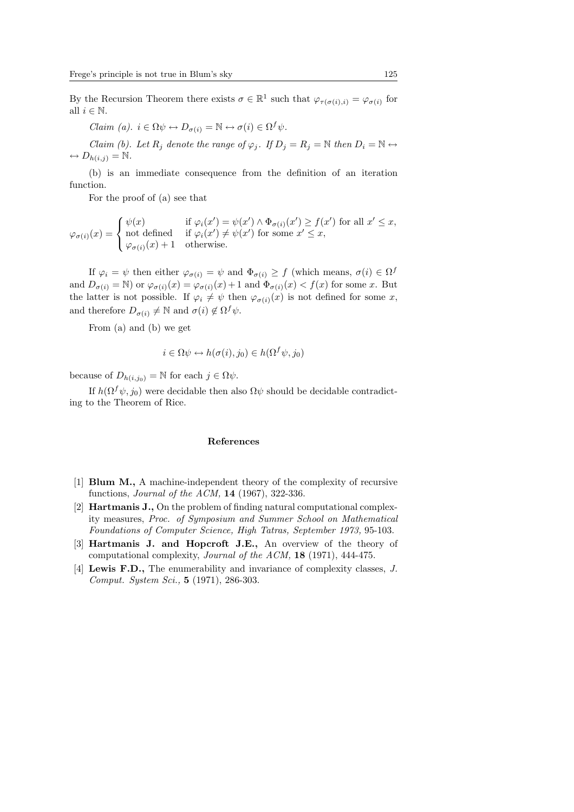By the Recursion Theorem there exists  $\sigma \in \mathbb{R}^1$  such that  $\varphi_{\tau(\sigma(i),i)} = \varphi_{\sigma(i)}$  for all  $i \in \mathbb{N}$ .

Claim (a).  $i \in \Omega \psi \leftrightarrow D_{\sigma(i)} = \mathbb{N} \leftrightarrow \sigma(i) \in \Omega^f \psi$ .

Claim (b). Let  $R_i$  denote the range of  $\varphi_i$ . If  $D_i = R_i = \mathbb{N}$  then  $D_i = \mathbb{N} \leftrightarrow$  $\leftrightarrow D_{h(i,j)} = \mathbb{N}.$ 

(b) is an immediate consequence from the definition of an iteration function.

For the proof of (a) see that

$$
\varphi_{\sigma(i)}(x) = \begin{cases} \psi(x) & \text{if } \varphi_i(x') = \psi(x') \land \Phi_{\sigma(i)}(x') \ge f(x') \text{ for all } x' \le x, \\ \text{not defined} & \text{if } \varphi_i(x') \neq \psi(x') \text{ for some } x' \le x, \\ \varphi_{\sigma(i)}(x) + 1 & \text{otherwise.} \end{cases}
$$

If  $\varphi_i = \psi$  then either  $\varphi_{\sigma(i)} = \psi$  and  $\Phi_{\sigma(i)} \geq f$  (which means,  $\sigma(i) \in \Omega^f$ and  $D_{\sigma(i)} = \mathbb{N}$  or  $\varphi_{\sigma(i)}(x) = \varphi_{\sigma(i)}(x) + 1$  and  $\Phi_{\sigma(i)}(x) < f(x)$  for some x. But the latter is not possible. If  $\varphi_i \neq \psi$  then  $\varphi_{\sigma(i)}(x)$  is not defined for some x, and therefore  $D_{\sigma(i)} \neq \mathbb{N}$  and  $\sigma(i) \notin \Omega^f \psi$ .

From (a) and (b) we get

$$
i \in \Omega \psi \leftrightarrow h(\sigma(i), j_0) \in h(\Omega^f \psi, j_0)
$$

because of  $D_{h(i,j_0)} = N$  for each  $j \in \Omega \psi$ .

If  $h(\Omega^f \psi, j_0)$  were decidable then also  $\Omega \psi$  should be decidable contradicting to the Theorem of Rice.

#### References

- [1] Blum M., A machine-independent theory of the complexity of recursive functions, Journal of the ACM, 14 (1967), 322-336.
- [2] Hartmanis J., On the problem of finding natural computational complexity measures, Proc. of Symposium and Summer School on Mathematical Foundations of Computer Science, High Tatras, September 1973, 95-103.
- [3] Hartmanis J. and Hopcroft J.E., An overview of the theory of computational complexity, Journal of the ACM, 18 (1971), 444-475.
- [4] Lewis F.D., The enumerability and invariance of complexity classes, J. Comput. System Sci., 5 (1971), 286-303.